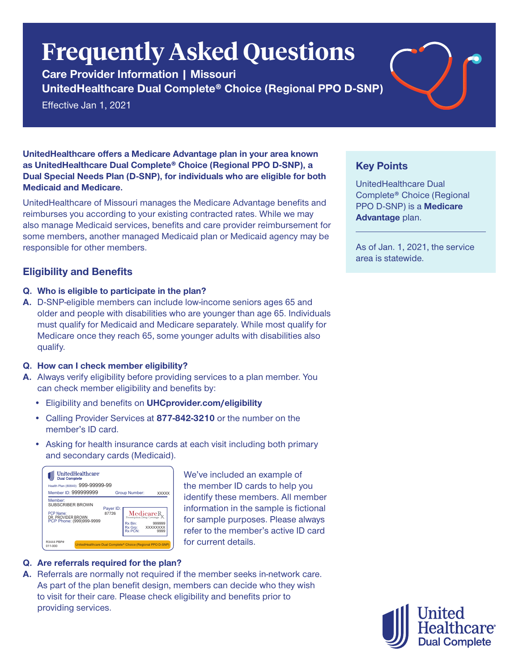# **Frequently Asked Questions**

**Care Provider Information | Missouri UnitedHealthcare Dual Complete® Choice (Regional PPO D-SNP)**

Effective Jan 1, 2021

**UnitedHealthcare offers a Medicare Advantage plan in your area known as UnitedHealthcare Dual Complete® Choice (Regional PPO D-SNP), a Dual Special Needs Plan (D-SNP), for individuals who are eligible for both Medicaid and Medicare.**

UnitedHealthcare of Missouri manages the Medicare Advantage benefits and reimburses you according to your existing contracted rates. While we may also manage Medicaid services, benefits and care provider reimbursement for some members, another managed Medicaid plan or Medicaid agency may be responsible for other members.

# **Eligibility and Benefits**

- **Q. Who is eligible to participate in the plan?**
- **A.** D-SNP-eligible members can include low-income seniors ages 65 and older and people with disabilities who are younger than age 65. Individuals must qualify for Medicaid and Medicare separately. While most qualify for Medicare once they reach 65, some younger adults with disabilities also qualify.

## **Q. How can I check member eligibility?**

- **A.** Always verify eligibility before providing services to a plan member. You can check member eligibility and benefits by:
	- Eligibility and benefits on **UHCprovider.com/eligibility**
	- Calling Provider Services at **877-842-3210** or the number on the member's ID card.
	- Asking for health insurance cards at each visit including both primary and secondary cards (Medicaid).

| UnitedHealthcare<br><b>Dual Complete</b>                                                   |                    |                                                               |                            |
|--------------------------------------------------------------------------------------------|--------------------|---------------------------------------------------------------|----------------------------|
| Health Plan (80840): 999-99999-99<br>Member ID: 999999999                                  |                    | Group Number:                                                 | <b>XXXXX</b>               |
| Member:<br>SUBSCRIBER BROWN<br>PCP Name:<br>DR. PROVIDER BROWN<br>PCP Phone: (999)999-9999 | Payer ID:<br>87726 | Medicare <sub>R</sub><br>Rx Bin:<br>Rx Gro:<br><b>Rx PCN:</b> | 999999<br>XXXXXXXX<br>9999 |
| R3444 PRP#<br>011-000                                                                      |                    | UnitedHealthcare Dual Complete® Choice (Regional PPO D-SNP)   |                            |

We've included an example of the member ID cards to help you identify these members. All member information in the sample is fictional for sample purposes. Please always refer to the member's active ID card for current details.

## **Q. Are referrals required for the plan?**

**A.** Referrals are normally not required if the member seeks in-network care. As part of the plan benefit design, members can decide who they wish to visit for their care. Please check eligibility and benefits prior to providing services.

# **Key Points**

UnitedHealthcare Dual Complete® Choice (Regional PPO D-SNP) is a **Medicare Advantage** plan.

As of Jan. 1, 2021, the service area is statewide.